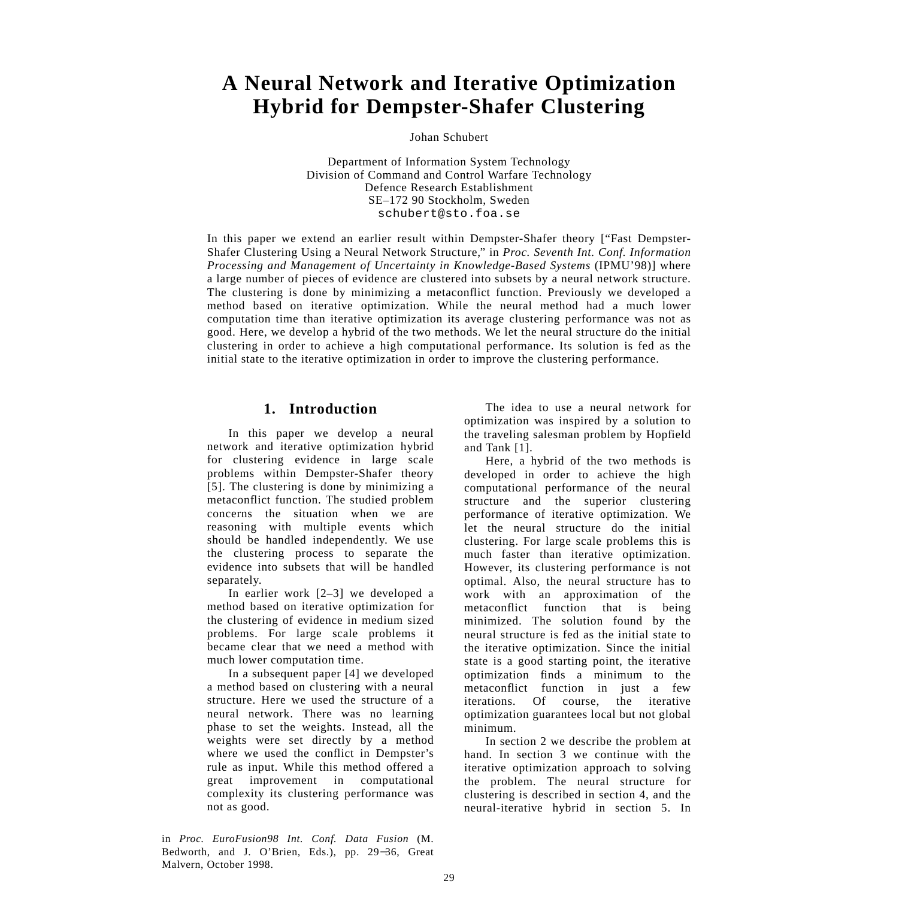# **A Neural Network and Iterative Optimization Hybrid for Dempster-Shafer Clustering**

Johan Schubert

Department of Information System Technology Division of Command and Control Warfare Technology Defence Research Establishment SE–172 90 Stockholm, Sweden schubert@sto.foa.se

In this paper we extend an earlier result within Dempster-Shafer theory ["Fast Dempster-Shafer Clustering Using a Neural Network Structure," in *Proc. Seventh Int. Conf. Information Processing and Management of Uncertainty in Knowledge-Based Systems* (IPMU'98)] where a large number of pieces of evidence are clustered into subsets by a neural network structure. The clustering is done by minimizing a metaconflict function. Previously we developed a method based on iterative optimization. While the neural method had a much lower computation time than iterative optimization its average clustering performance was not as good. Here, we develop a hybrid of the two methods. We let the neural structure do the initial clustering in order to achieve a high computational performance. Its solution is fed as the initial state to the iterative optimization in order to improve the clustering performance.

# **1. Introduction**

In this paper we develop a neural network and iterative optimization hybrid for clustering evidence in large scale problems within Dempster-Shafer theory [5]. The clustering is done by minimizing a metaconflict function. The studied problem concerns the situation when we are reasoning with multiple events which should be handled independently. We use the clustering process to separate the evidence into subsets that will be handled separately.

In earlier work [2–3] we developed a method based on iterative optimization for the clustering of evidence in medium sized problems. For large scale problems it became clear that we need a method with much lower computation time.

In a subsequent paper [4] we developed a method based on clustering with a neural structure. Here we used the structure of a neural network. There was no learning phase to set the weights. Instead, all the weights were set directly by a method where we used the conflict in Dempster's rule as input. While this method offered a great improvement in computational complexity its clustering performance was not as good.

in *Proc. EuroFusion98 Int. Conf. Data Fusion* (M. Bedworth, and J. O'Brien, Eds.), pp. 29−36, Great Malvern, October 1998.

The idea to use a neural network for optimization was inspired by a solution to the traveling salesman problem by Hopfield and Tank [1].

Here, a hybrid of the two methods is developed in order to achieve the high computational performance of the neural structure and the superior clustering performance of iterative optimization. We let the neural structure do the initial clustering. For large scale problems this is much faster than iterative optimization. However, its clustering performance is not optimal. Also, the neural structure has to work with an approximation of the metaconflict function that is being minimized. The solution found by the neural structure is fed as the initial state to the iterative optimization. Since the initial state is a good starting point, the iterative optimization finds a minimum to the metaconflict function in just a few iterations. Of course, the iterative optimization guarantees local but not global minimum.

In section 2 we describe the problem at hand. In section 3 we continue with the iterative optimization approach to solving the problem. The neural structure for clustering is described in section 4, and the neural-iterative hybrid in section 5. In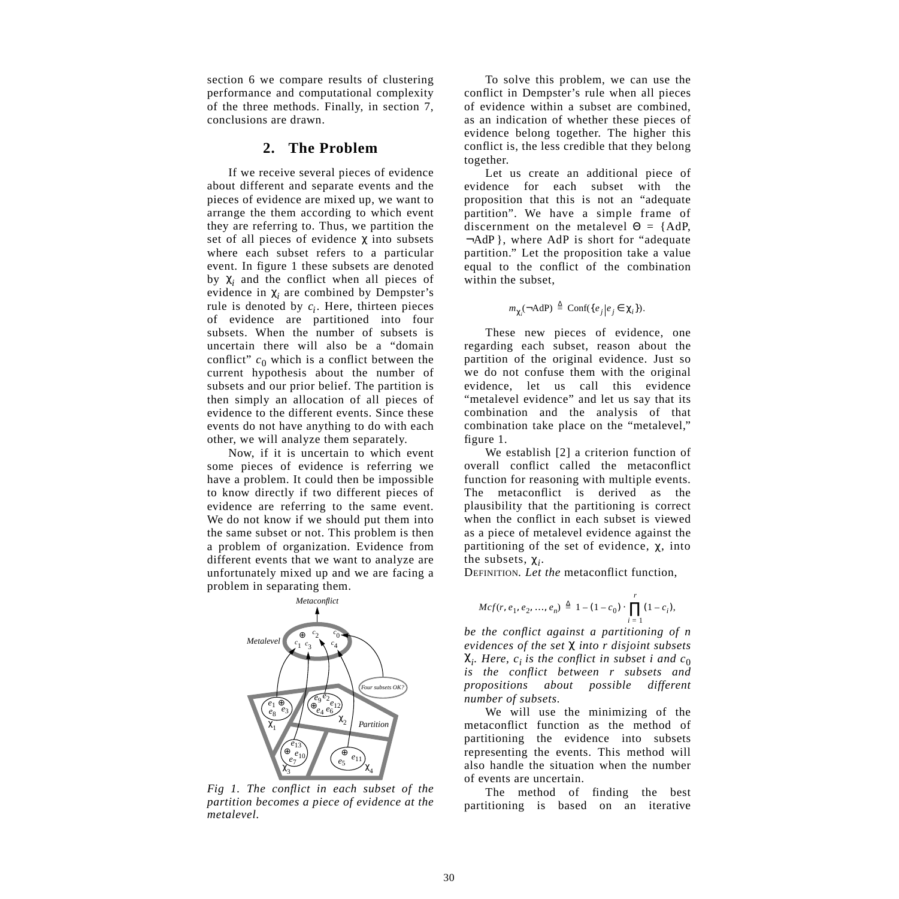section 6 we compare results of clustering performance and computational complexity of the three methods. Finally, in section 7, conclusions are drawn.

# **2. The Problem**

If we receive several pieces of evidence about different and separate events and the pieces of evidence are mixed up, we want to arrange the them according to which event they are referring to. Thus, we partition the set of all pieces of evidence  $\chi$  into subsets where each subset refers to a particular event. In figure 1 these subsets are denoted by  $\chi_i$  and the conflict when all pieces of evidence in χ*<sup>i</sup>* are combined by Dempster's rule is denoted by  $c_i$ . Here, thirteen pieces of evidence are partitioned into four subsets. When the number of subsets is uncertain there will also be a "domain conflict"  $c_0$  which is a conflict between the current hypothesis about the number of subsets and our prior belief. The partition is then simply an allocation of all pieces of evidence to the different events. Since these events do not have anything to do with each other, we will analyze them separately.

Now, if it is uncertain to which event some pieces of evidence is referring we have a problem. It could then be impossible to know directly if two different pieces of evidence are referring to the same event. We do not know if we should put them into the same subset or not. This problem is then a problem of organization. Evidence from different events that we want to analyze are unfortunately mixed up and we are facing a problem in separating them.



*Fig 1. The conflict in each subset of the partition becomes a piece of evidence at the metalevel.*

To solve this problem, we can use the conflict in Dempster's rule when all pieces of evidence within a subset are combined, as an indication of whether these pieces of evidence belong together. The higher this conflict is, the less credible that they belong together.

Let us create an additional piece of evidence for each subset with the proposition that this is not an "adequate partition". We have a simple frame of discernment on the metalevel  $\Theta = \{AdP,$  $\neg$ AdP }, where AdP is short for "adequate partition." Let the proposition take a value equal to the conflict of the combination within the subset,

$$
m_{\chi_i}(\neg \text{AdP}) \stackrel{\Delta}{=} \text{Conf}(\{e_j \mid e_j \in \chi_i\}).
$$

These new pieces of evidence, one regarding each subset, reason about the partition of the original evidence. Just so we do not confuse them with the original evidence, let us call this evidence "metalevel evidence" and let us say that its combination and the analysis of that combination take place on the "metalevel," figure 1.

We establish [2] a criterion function of overall conflict called the metaconflict function for reasoning with multiple events. The metaconflict is derived as the plausibility that the partitioning is correct when the conflict in each subset is viewed as a piece of metalevel evidence against the partitioning of the set of evidence,  $\chi$ , into the subsets, χ*i*.

DEFINITION*. Let the* metaconflict function,

$$
Mcf(r, e_1, e_2, ..., e_n) \triangleq 1 - (1 - c_0) \cdot \prod_{i=1}^r (1 - c_i),
$$

*be the conflict against a partitioning of n evidences of the set* χ *into r disjoint subsets*  $\chi$ *<sub><i>i*</sub>. Here, c<sub>i</sub> is the conflict in subset *i* and c<sub>0</sub> *is the conflict between r subsets and propositions about possible different number of subsets.*

We will use the minimizing of the metaconflict function as the method of partitioning the evidence into subsets representing the events. This method will also handle the situation when the number of events are uncertain.

The method of finding the best partitioning is based on an iterative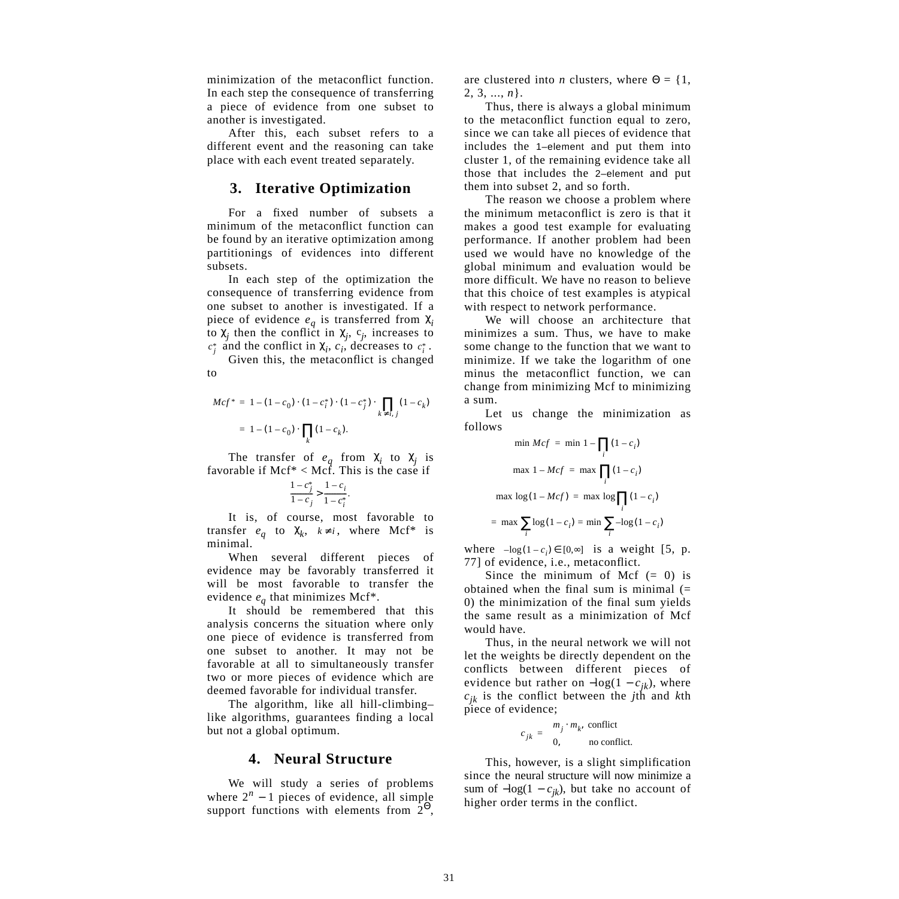minimization of the metaconflict function. In each step the consequence of transferring a piece of evidence from one subset to another is investigated.

After this, each subset refers to a different event and the reasoning can take place with each event treated separately.

# **3. Iterative Optimization**

For a fixed number of subsets a minimum of the metaconflict function can be found by an iterative optimization among partitionings of evidences into different subsets.

In each step of the optimization the consequence of transferring evidence from one subset to another is investigated. If a piece of evidence  $e_q$  is transferred from  $\chi_i$ to  $\chi_j$  then the conflict in  $\chi_j$ ,  $c_j$ , increases to  $c_j^*$  and the conflict in  $\chi_i$ ,  $c_i$ , decreases to  $c_i^*$ .

Given this, the metaconflict is changed to

$$
Mcf^* = 1 - (1 - c_0) \cdot (1 - c_i^*) \cdot (1 - c_j^*) \cdot \prod_{k \neq i, j} (1 - c_k)
$$
  
= 1 - (1 - c\_0) \cdot \prod\_k (1 - c\_k).

The transfer of  $e_q$  from  $\chi_i$  to  $\chi_j$  is favorable if Mcf\* < Mcf. This is the case if

$$
\frac{1-c_j^*}{1-c_j} > \frac{1-c_i}{1-c_i^*}.
$$

It is, of course, most favorable to transfer  $e_q$  to  $\chi_k$ ,  $k \neq i$ , where Mcf<sup>\*</sup> is minimal.

When several different pieces of evidence may be favorably transferred it will be most favorable to transfer the evidence  $e_a$  that minimizes Mcf<sup>\*</sup>.

It should be remembered that this analysis concerns the situation where only one piece of evidence is transferred from one subset to another. It may not be favorable at all to simultaneously transfer two or more pieces of evidence which are deemed favorable for individual transfer.

The algorithm, like all hill-climbing– like algorithms, guarantees finding a local but not a global optimum.

## **4. Neural Structure**

We will study a series of problems where  $2^n - 1$  pieces of evidence, all simple support functions with elements from  $2^{\Theta}$ ,

are clustered into *n* clusters, where  $\Theta = \{1, \dots, n\}$ 2, 3, ..., *n*}.

Thus, there is always a global minimum to the metaconflict function equal to zero, since we can take all pieces of evidence that includes the 1–element and put them into cluster 1, of the remaining evidence take all those that includes the 2–element and put them into subset 2, and so forth.

The reason we choose a problem where the minimum metaconflict is zero is that it makes a good test example for evaluating performance. If another problem had been used we would have no knowledge of the global minimum and evaluation would be more difficult. We have no reason to believe that this choice of test examples is atypical with respect to network performance.

We will choose an architecture that minimizes a sum. Thus, we have to make some change to the function that we want to minimize. If we take the logarithm of one minus the metaconflict function, we can change from minimizing Mcf to minimizing a sum.

Let us change the minimization as follows

$$
\min Mcf = \min 1 - \prod_i (1 - c_i)
$$
  

$$
\max 1 - Mcf = \max \prod_i (1 - c_i)
$$
  

$$
\max \log(1 - Mcf) = \max \log \prod_i (1 - c_i)
$$
  

$$
= \max \sum_i \log(1 - c_i) = \min \sum_i -\log(1 - c_i)
$$

where  $-\log(1 - c_i) \in [0, \infty]$  is a weight [5, p. 77] of evidence, i.e., metaconflict.

Since the minimum of Mcf  $(= 0)$  is obtained when the final sum is minimal  $(=$ 0) the minimization of the final sum yields the same result as a minimization of Mcf would have.

Thus, in the neural network we will not let the weights be directly dependent on the conflicts between different pieces of evidence but rather on  $-\log(1 - c_{ik})$ , where *cjk* is the conflict between the *j*th and *k*th piece of evidence;

$$
c_{jk} = \begin{cases} m_j \cdot m_k, & \text{conflict} \\ 0, & \text{no conflict.} \end{cases}
$$

This, however, is a slight simplification since the neural structure will now minimize a sum of  $-\log(1 - c_{ik})$ , but take no account of higher order terms in the conflict.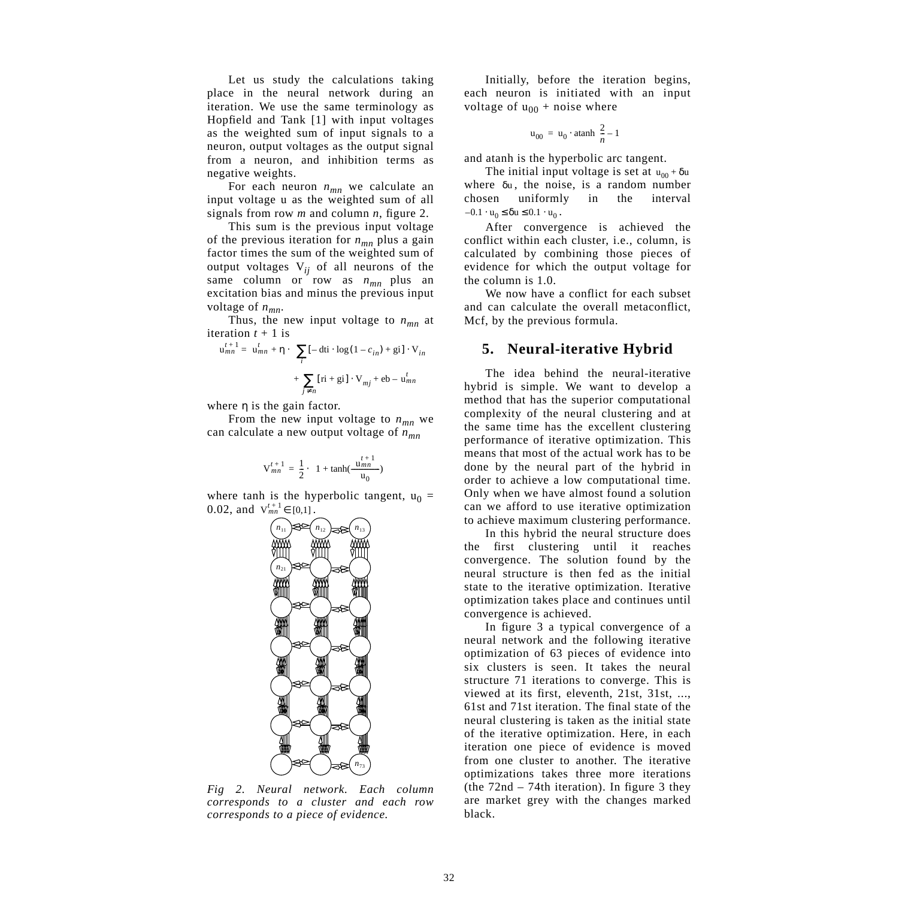Let us study the calculations taking place in the neural network during an iteration. We use the same terminology as Hopfield and Tank [1] with input voltages as the weighted sum of input signals to a neuron, output voltages as the output signal from a neuron, and inhibition terms as negative weights.

For each neuron  $n_{mn}$  we calculate an input voltage u as the weighted sum of all signals from row *m* and column *n*, figure 2.

This sum is the previous input voltage of the previous iteration for  $n_{mn}$  plus a gain factor times the sum of the weighted sum of output voltages V*ij* of all neurons of the same column or row as  $n_{mn}$  plus an excitation bias and minus the previous input voltage of  $n_{mn}$ .

Thus, the new input voltage to  $n_{mn}$  at iteration  $t + 1$  is

$$
\mathbf{u}_{mn}^{t+1} = \mathbf{u}_{mn}^t + \eta \cdot \left( \sum_i \left[ -\mathrm{d} \mathbf{t} \cdot \log(1 - c_{in}) + \mathrm{g} \mathbf{i} \right] \cdot \mathbf{V}_{in} + \sum_{j \neq n} \left[ \mathbf{r} \mathbf{i} + \mathrm{g} \mathbf{i} \right] \cdot \mathbf{V}_{mj} + \mathrm{e} \mathbf{b} - \mathbf{u}_{mn}^t \right)
$$

where η is the gain factor.

From the new input voltage to  $n_{mn}$  we can calculate a new output voltage of  $n_{mn}$ 

$$
\mathbf{V}_{mn}^{t+1} = \frac{1}{2} \cdot \left( 1 + \tanh(\frac{\mathbf{u}_{mn}^{t+1}}{\mathbf{u}_0}) \right)
$$

where tanh is the hyperbolic tangent,  $u_0$  = 0.02, and  $V_{mn}^{t+1} \in [0,1]$ .



*Fig 2. Neural network. Each column corresponds to a cluster and each row corresponds to a piece of evidence.*

Initially, before the iteration begins, each neuron is initiated with an input voltage of  $u_{00}$  + noise where

$$
\mathbf{u}_{00} = \mathbf{u}_0 \cdot \operatorname{atanh}\left(\frac{2}{n} - 1\right)
$$

and atanh is the hyperbolic arc tangent.

The initial input voltage is set at  $u_{00} + \delta u$ where  $\delta u$ , the noise, is a random number chosen uniformly in the interval  $-0.1 \cdot u_0 \le \delta u \le 0.1 \cdot u_0$ .

After convergence is achieved the conflict within each cluster, i.e., column, is calculated by combining those pieces of evidence for which the output voltage for the column is 1.0.

We now have a conflict for each subset and can calculate the overall metaconflict, Mcf, by the previous formula.

# **5. Neural-iterative Hybrid**

The idea behind the neural-iterative hybrid is simple. We want to develop a method that has the superior computational complexity of the neural clustering and at the same time has the excellent clustering performance of iterative optimization. This means that most of the actual work has to be done by the neural part of the hybrid in order to achieve a low computational time. Only when we have almost found a solution can we afford to use iterative optimization to achieve maximum clustering performance.

In this hybrid the neural structure does the first clustering until it reaches convergence. The solution found by the neural structure is then fed as the initial state to the iterative optimization. Iterative optimization takes place and continues until convergence is achieved.

In figure 3 a typical convergence of a neural network and the following iterative optimization of 63 pieces of evidence into six clusters is seen. It takes the neural structure 71 iterations to converge. This is viewed at its first, eleventh, 21st, 31st, ..., 61st and 71st iteration. The final state of the neural clustering is taken as the initial state of the iterative optimization. Here, in each iteration one piece of evidence is moved from one cluster to another. The iterative optimizations takes three more iterations (the 72nd – 74th iteration). In figure 3 they are market grey with the changes marked black.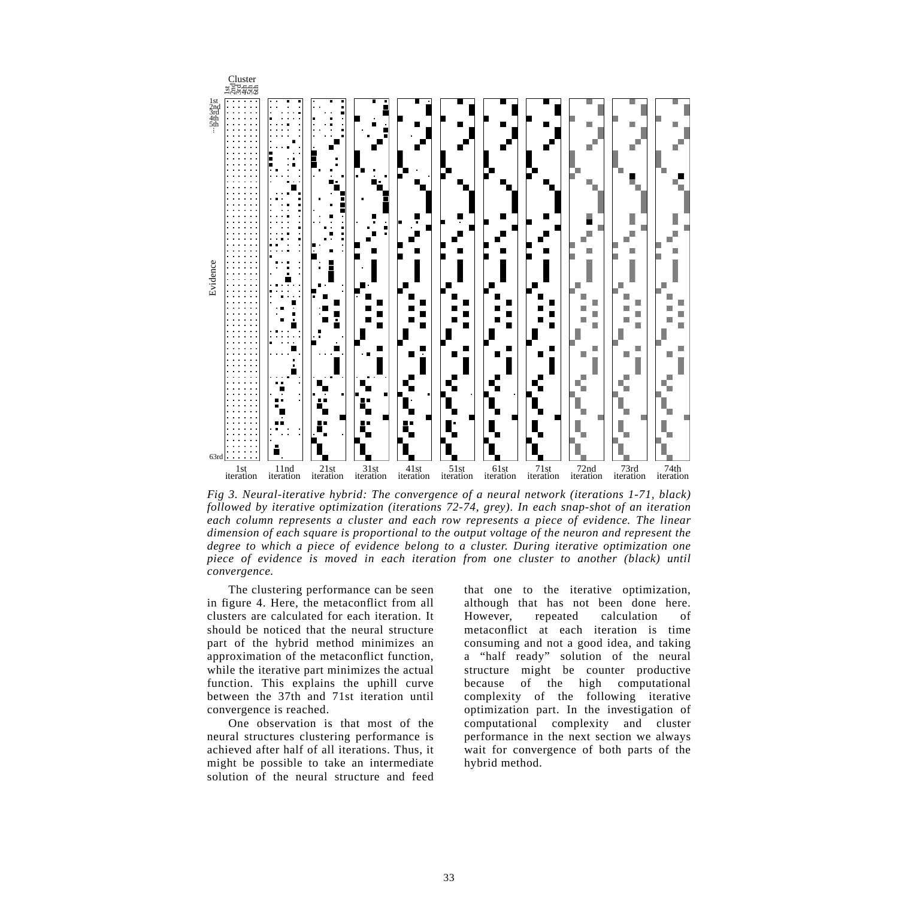

*Fig 3. Neural-iterative hybrid: The convergence of a neural network (iterations 1-71, black) followed by iterative optimization (iterations 72-74, grey). In each snap-shot of an iteration each column represents a cluster and each row represents a piece of evidence. The linear dimension of each square is proportional to the output voltage of the neuron and represent the degree to which a piece of evidence belong to a cluster. During iterative optimization one piece of evidence is moved in each iteration from one cluster to another (black) until convergence.*

The clustering performance can be seen in figure 4. Here, the metaconflict from all clusters are calculated for each iteration. It should be noticed that the neural structure part of the hybrid method minimizes an approximation of the metaconflict function, while the iterative part minimizes the actual function. This explains the uphill curve between the 37th and 71st iteration until convergence is reached.

One observation is that most of the neural structures clustering performance is achieved after half of all iterations. Thus, it might be possible to take an intermediate solution of the neural structure and feed that one to the iterative optimization, although that has not been done here. However, repeated calculation of metaconflict at each iteration is time consuming and not a good idea, and taking a "half ready" solution of the neural structure might be counter productive because of the high computational complexity of the following iterative optimization part. In the investigation of computational complexity and cluster performance in the next section we always wait for convergence of both parts of the hybrid method.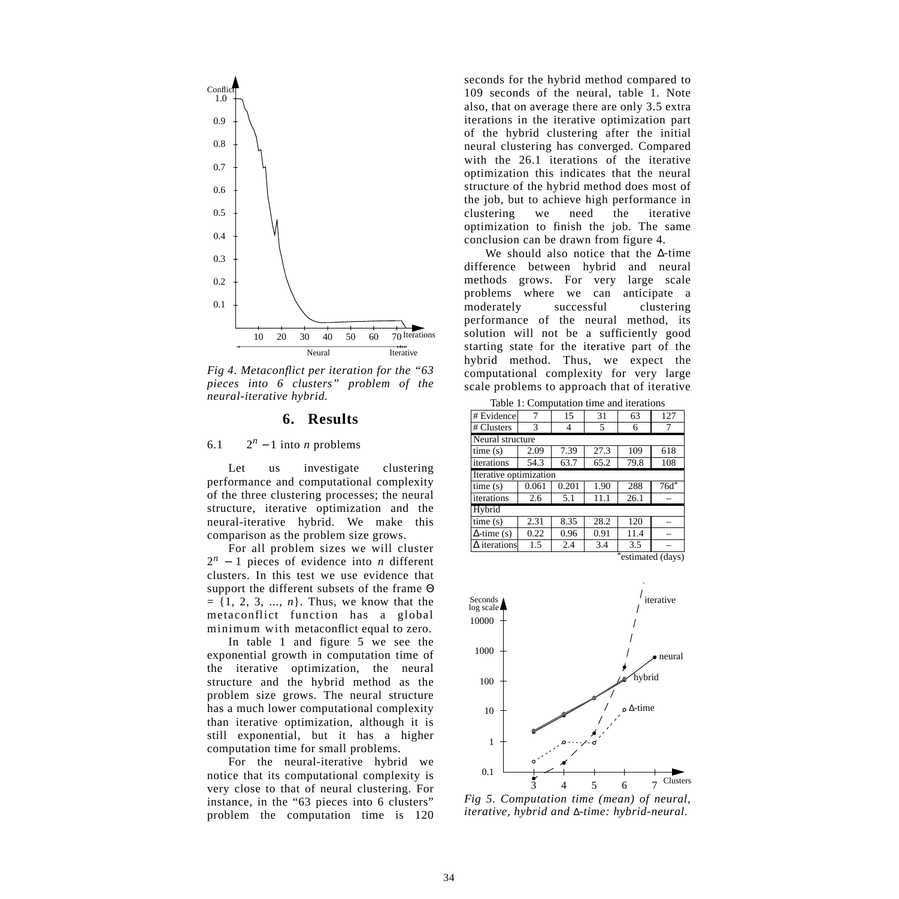

*Fig 4. Metaconflict per iteration for the "63 pieces into 6 clusters" problem of the neural-iterative hybrid.*

### **6. Results**

6.1  $2^n - 1$  into *n* problems

Let us investigate clustering performance and computational complexity of the three clustering processes; the neural structure, iterative optimization and the neural-iterative hybrid. We make this comparison as the problem size grows.

For all problem sizes we will cluster  $2^n - 1$  pieces of evidence into *n* different clusters. In this test we use evidence that support the different subsets of the frame Θ  $= \{1, 2, 3, ..., n\}$ . Thus, we know that the metaconflict function has a global minimum with metaconflict equal to zero.

In table 1 and figure 5 we see the exponential growth in computation time of the iterative optimization, the neural structure and the hybrid method as the problem size grows. The neural structure has a much lower computational complexity than iterative optimization, although it is still exponential, but it has a higher computation time for small problems.

For the neural-iterative hybrid we notice that its computational complexity is very close to that of neural clustering. For instance, in the "63 pieces into 6 clusters" problem the computation time is 120 seconds for the hybrid method compared to 109 seconds of the neural, table 1. Note also, that on average there are only 3.5 extra iterations in the iterative optimization part of the hybrid clustering after the initial neural clustering has converged. Compared with the 26.1 iterations of the iterative optimization this indicates that the neural structure of the hybrid method does most of the job, but to achieve high performance in clustering we need the iterative optimization to finish the job. The same conclusion can be drawn from figure 4.

We should also notice that the ∆-time difference between hybrid and neural methods grows. For very large scale problems where we can anticipate a moderately successful clustering performance of the neural method, its solution will not be a sufficiently good starting state for the iterative part of the hybrid method. Thus, we expect the computational complexity for very large scale problems to approach that of iterative

Table 1: Computation time and iterations

| radio 1. Computation time and relations |                  |       |      |      |     |  |  |
|-----------------------------------------|------------------|-------|------|------|-----|--|--|
| # Evidence                              |                  | 15    | 31   | 63   | 127 |  |  |
| # Clusters                              | 3                | 4     | 5    | 6    |     |  |  |
|                                         | Neural structure |       |      |      |     |  |  |
| time(s)                                 | 2.09             | 7.39  | 27.3 | 109  | 618 |  |  |
| iterations                              | 54.3             | 63.7  | 65.2 | 79.8 | 108 |  |  |
| Iterative optimization                  |                  |       |      |      |     |  |  |
| time(s)                                 | 0.061            | 0.201 | 1.90 | 288  | 76d |  |  |
| iterations                              | 2.6              | 5.1   | 11.1 | 26.1 |     |  |  |
| Hybrid                                  |                  |       |      |      |     |  |  |
| time(s)                                 | 2.31             | 8.35  | 28.2 | 120  |     |  |  |
| $\Delta$ -time (s)                      | 0.22             | 0.96  | 0.91 | 11.4 |     |  |  |
| $\Delta$ iterations                     | 1.5              | 2.4   | 3.4  | 3.5  |     |  |  |

\*estimated (days)



*Fig 5. Computation time (mean) of neural, iterative, hybrid and* ∆*-time: hybrid-neural.*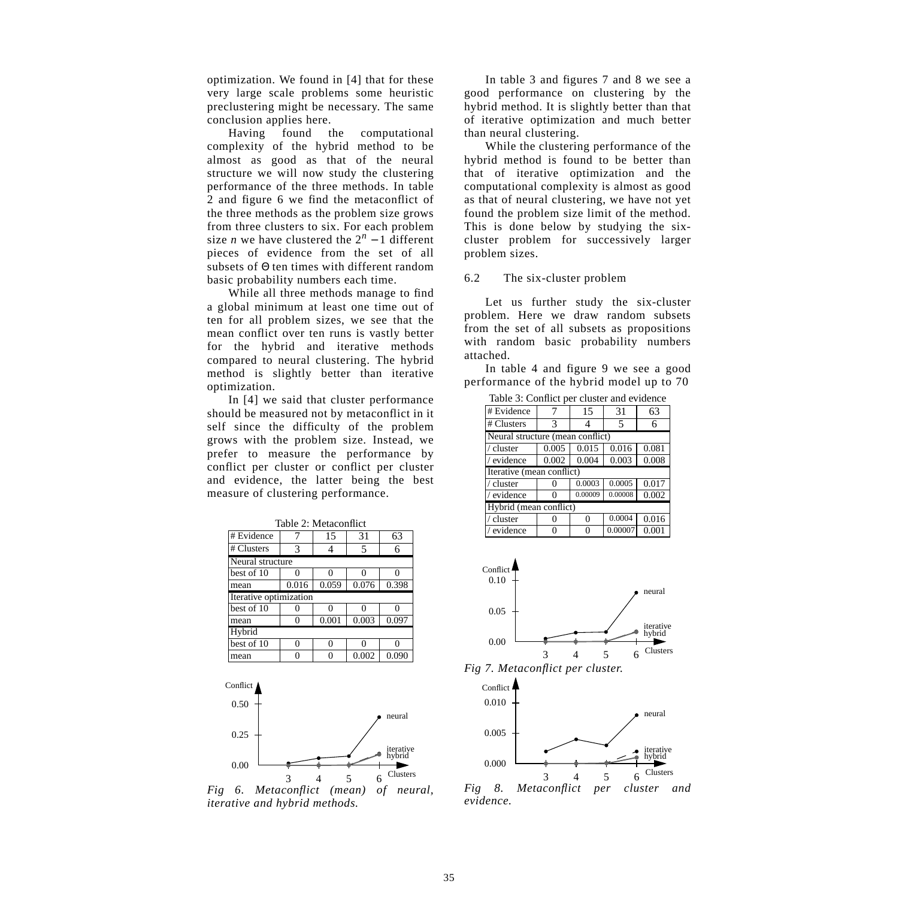optimization. We found in [4] that for these very large scale problems some heuristic preclustering might be necessary. The same conclusion applies here.

Having found the computational complexity of the hybrid method to be almost as good as that of the neural structure we will now study the clustering performance of the three methods. In table 2 and figure 6 we find the metaconflict of the three methods as the problem size grows from three clusters to six. For each problem size *n* we have clustered the  $2^n - 1$  different pieces of evidence from the set of all subsets of Θ ten times with different random basic probability numbers each time.

While all three methods manage to find a global minimum at least one time out of ten for all problem sizes, we see that the mean conflict over ten runs is vastly better for the hybrid and iterative methods compared to neural clustering. The hybrid method is slightly better than iterative optimization.

In [4] we said that cluster performance should be measured not by metaconflict in it self since the difficulty of the problem grows with the problem size. Instead, we prefer to measure the performance by conflict per cluster or conflict per cluster and evidence, the latter being the best measure of clustering performance.

| # Evidence             |       | 15    | 31    | 63    |  |
|------------------------|-------|-------|-------|-------|--|
| # Clusters             | 3     |       | 5     |       |  |
| Neural structure       |       |       |       |       |  |
| best of 10             | 0     |       |       |       |  |
| mean                   | 0.016 | 0.059 | 0.076 | 0.398 |  |
| Iterative optimization |       |       |       |       |  |
| best of 10             |       |       |       |       |  |
| mean                   | 0     | 0.001 | 0.003 | 0.097 |  |
| Hybrid                 |       |       |       |       |  |
| best of 10             | 0     |       |       |       |  |
|                        |       |       |       |       |  |

Table 2: Metaconflict



*Fig 6. Metaconflict (mean) of neural, iterative and hybrid methods.*

In table 3 and figures 7 and 8 we see a good performance on clustering by the hybrid method. It is slightly better than that of iterative optimization and much better than neural clustering.

While the clustering performance of the hybrid method is found to be better than that of iterative optimization and the computational complexity is almost as good as that of neural clustering, we have not yet found the problem size limit of the method. This is done below by studying the sixcluster problem for successively larger problem sizes.

#### 6.2 The six-cluster problem

Let us further study the six-cluster problem. Here we draw random subsets from the set of all subsets as propositions with random basic probability numbers attached.

In table 4 and figure 9 we see a good performance of the hybrid model up to 70

| Table 5. Commet per chaster and evidence |       |         |         |       |  |
|------------------------------------------|-------|---------|---------|-------|--|
| # Evidence                               |       | 15      | 31      | 63    |  |
| # Clusters                               | 3     |         | 5       | 6     |  |
| Neural structure (mean conflict)         |       |         |         |       |  |
| / cluster                                | 0.005 | 0.015   | 0.016   | 0.081 |  |
| / evidence                               | 0.002 | 0.004   | 0.003   | 0.008 |  |
| Iterative (mean conflict)                |       |         |         |       |  |
| / cluster                                |       | 0.0003  | 0.0005  | 0.017 |  |
| / evidence                               | 0     | 0.00009 | 0.00008 | 0.002 |  |
| Hybrid (mean conflict)                   |       |         |         |       |  |
| / cluster                                | 0     | 0       | 0.0004  | 0.016 |  |
| / evidence                               |       | 0       | 0.00007 | 0.001 |  |

Table 3: Conflict per cluster and evidence







*Fig 8. Metaconflict per cluster and evidence.*